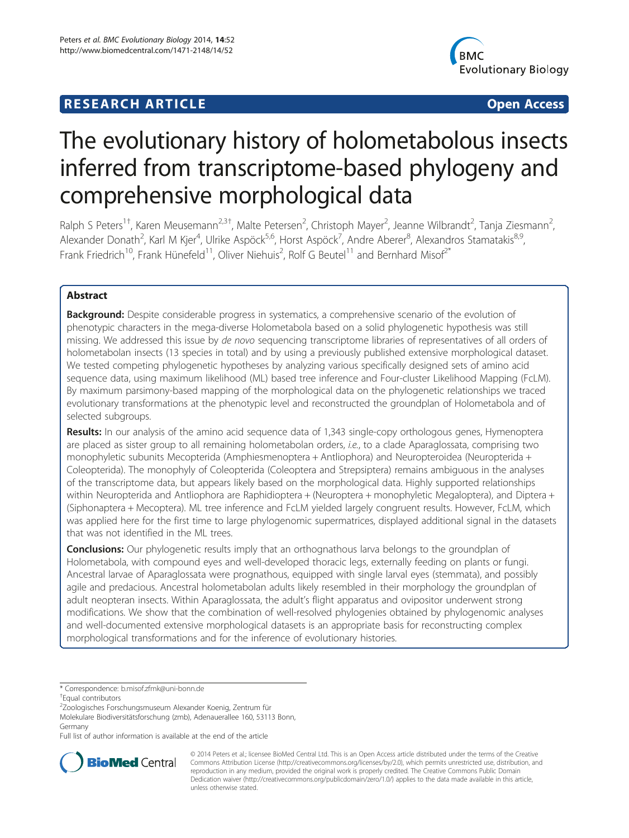## **RESEARCH ARTICLE CONSUMING A RESEARCH ARTICLE**



# The evolutionary history of holometabolous insects inferred from transcriptome-based phylogeny and comprehensive morphological data

Ralph S Peters<sup>1†</sup>, Karen Meusemann<sup>2,3†</sup>, Malte Petersen<sup>2</sup>, Christoph Mayer<sup>2</sup>, Jeanne Wilbrandt<sup>2</sup>, Tanja Ziesmann<sup>2</sup> , Alexander Donath<sup>2</sup>, Karl M Kjer<sup>4</sup>, Ulrike Aspöck<sup>5,6</sup>, Horst Aspöck<sup>7</sup>, Andre Aberer<sup>8</sup>, Alexandros Stamatakis<sup>8,9</sup>, Frank Friedrich<sup>10</sup>, Frank Hünefeld<sup>11</sup>, Oliver Niehuis<sup>2</sup>, Rolf G Beutel<sup>11</sup> and Bernhard Misof<sup>2\*</sup>

## Abstract

**Background:** Despite considerable progress in systematics, a comprehensive scenario of the evolution of phenotypic characters in the mega-diverse Holometabola based on a solid phylogenetic hypothesis was still missing. We addressed this issue by de novo sequencing transcriptome libraries of representatives of all orders of holometabolan insects (13 species in total) and by using a previously published extensive morphological dataset. We tested competing phylogenetic hypotheses by analyzing various specifically designed sets of amino acid sequence data, using maximum likelihood (ML) based tree inference and Four-cluster Likelihood Mapping (FcLM). By maximum parsimony-based mapping of the morphological data on the phylogenetic relationships we traced evolutionary transformations at the phenotypic level and reconstructed the groundplan of Holometabola and of selected subgroups.

Results: In our analysis of the amino acid sequence data of 1,343 single-copy orthologous genes, Hymenoptera are placed as sister group to all remaining holometabolan orders, i.e., to a clade Aparaglossata, comprising two monophyletic subunits Mecopterida (Amphiesmenoptera + Antliophora) and Neuropteroidea (Neuropterida + Coleopterida). The monophyly of Coleopterida (Coleoptera and Strepsiptera) remains ambiguous in the analyses of the transcriptome data, but appears likely based on the morphological data. Highly supported relationships within Neuropterida and Antliophora are Raphidioptera + (Neuroptera + monophyletic Megaloptera), and Diptera + (Siphonaptera + Mecoptera). ML tree inference and FcLM yielded largely congruent results. However, FcLM, which was applied here for the first time to large phylogenomic supermatrices, displayed additional signal in the datasets that was not identified in the ML trees.

**Conclusions:** Our phylogenetic results imply that an orthognathous larva belongs to the groundplan of Holometabola, with compound eyes and well-developed thoracic legs, externally feeding on plants or fungi. Ancestral larvae of Aparaglossata were prognathous, equipped with single larval eyes (stemmata), and possibly agile and predacious. Ancestral holometabolan adults likely resembled in their morphology the groundplan of adult neopteran insects. Within Aparaglossata, the adult's flight apparatus and ovipositor underwent strong modifications. We show that the combination of well-resolved phylogenies obtained by phylogenomic analyses and well-documented extensive morphological datasets is an appropriate basis for reconstructing complex morphological transformations and for the inference of evolutionary histories.

<sup>2</sup>Zoologisches Forschungsmuseum Alexander Koenig, Zentrum für

Molekulare Biodiversitätsforschung (zmb), Adenauerallee 160, 53113 Bonn, Germany

Full list of author information is available at the end of the article



© 2014 Peters et al.; licensee BioMed Central Ltd. This is an Open Access article distributed under the terms of the Creative Commons Attribution License [\(http://creativecommons.org/licenses/by/2.0\)](http://creativecommons.org/licenses/by/2.0), which permits unrestricted use, distribution, and reproduction in any medium, provided the original work is properly credited. The Creative Commons Public Domain Dedication waiver [\(http://creativecommons.org/publicdomain/zero/1.0/](http://creativecommons.org/publicdomain/zero/1.0/)) applies to the data made available in this article, unless otherwise stated.

<sup>\*</sup> Correspondence: [b.misof.zfmk@uni-bonn.de](mailto:b.misof.zfmk@uni-bonn.de) †

Equal contributors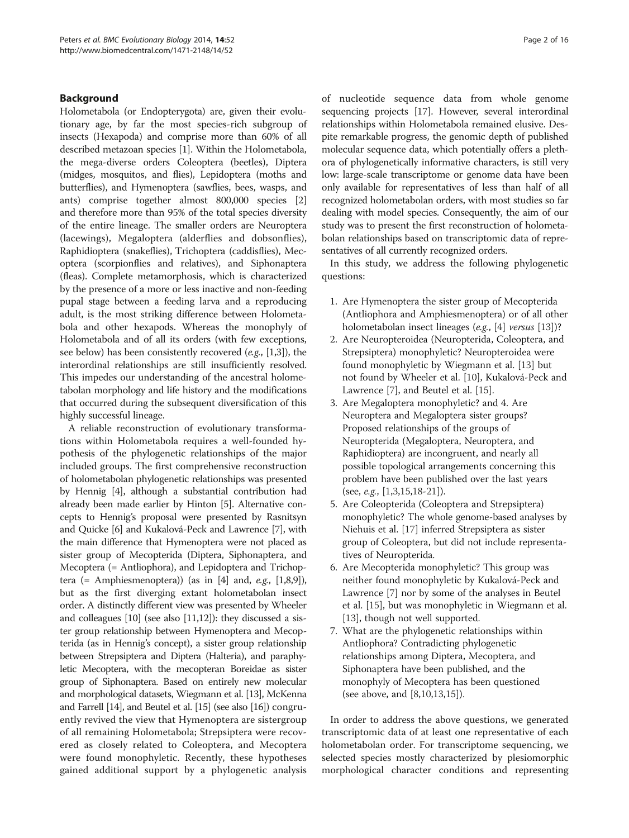#### Background

Holometabola (or Endopterygota) are, given their evolutionary age, by far the most species-rich subgroup of insects (Hexapoda) and comprise more than 60% of all described metazoan species [[1](#page-14-0)]. Within the Holometabola, the mega-diverse orders Coleoptera (beetles), Diptera (midges, mosquitos, and flies), Lepidoptera (moths and butterflies), and Hymenoptera (sawflies, bees, wasps, and ants) comprise together almost 800,000 species [[2](#page-14-0)] and therefore more than 95% of the total species diversity of the entire lineage. The smaller orders are Neuroptera (lacewings), Megaloptera (alderflies and dobsonflies), Raphidioptera (snakeflies), Trichoptera (caddisflies), Mecoptera (scorpionflies and relatives), and Siphonaptera (fleas). Complete metamorphosis, which is characterized by the presence of a more or less inactive and non-feeding pupal stage between a feeding larva and a reproducing adult, is the most striking difference between Holometabola and other hexapods. Whereas the monophyly of Holometabola and of all its orders (with few exceptions, see below) has been consistently recovered  $(e.g., [1,3])$  $(e.g., [1,3])$  $(e.g., [1,3])$ , the interordinal relationships are still insufficiently resolved. This impedes our understanding of the ancestral holometabolan morphology and life history and the modifications that occurred during the subsequent diversification of this highly successful lineage.

A reliable reconstruction of evolutionary transformations within Holometabola requires a well-founded hypothesis of the phylogenetic relationships of the major included groups. The first comprehensive reconstruction of holometabolan phylogenetic relationships was presented by Hennig [[4\]](#page-14-0), although a substantial contribution had already been made earlier by Hinton [[5\]](#page-14-0). Alternative concepts to Hennig's proposal were presented by Rasnitsyn and Quicke [[6](#page-14-0)] and Kukalová-Peck and Lawrence [\[7](#page-14-0)], with the main difference that Hymenoptera were not placed as sister group of Mecopterida (Diptera, Siphonaptera, and Mecoptera (= Antliophora), and Lepidoptera and Trichoptera (= Amphiesmenoptera)) (as in [\[4\]](#page-14-0) and, e.g., [\[1,8,9](#page-14-0)]), but as the first diverging extant holometabolan insect order. A distinctly different view was presented by Wheeler and colleagues [\[10\]](#page-14-0) (see also [[11,12\]](#page-14-0)): they discussed a sister group relationship between Hymenoptera and Mecopterida (as in Hennig's concept), a sister group relationship between Strepsiptera and Diptera (Halteria), and paraphyletic Mecoptera, with the mecopteran Boreidae as sister group of Siphonaptera. Based on entirely new molecular and morphological datasets, Wiegmann et al. [[13](#page-14-0)], McKenna and Farrell [[14\]](#page-14-0), and Beutel et al. [\[15\]](#page-14-0) (see also [\[16](#page-14-0)]) congruently revived the view that Hymenoptera are sistergroup of all remaining Holometabola; Strepsiptera were recovered as closely related to Coleoptera, and Mecoptera were found monophyletic. Recently, these hypotheses gained additional support by a phylogenetic analysis of nucleotide sequence data from whole genome sequencing projects [\[17](#page-14-0)]. However, several interordinal relationships within Holometabola remained elusive. Despite remarkable progress, the genomic depth of published molecular sequence data, which potentially offers a plethora of phylogenetically informative characters, is still very low: large-scale transcriptome or genome data have been only available for representatives of less than half of all recognized holometabolan orders, with most studies so far dealing with model species. Consequently, the aim of our study was to present the first reconstruction of holometabolan relationships based on transcriptomic data of representatives of all currently recognized orders.

In this study, we address the following phylogenetic questions:

- 1. Are Hymenoptera the sister group of Mecopterida (Antliophora and Amphiesmenoptera) or of all other holometabolan insect lineages (e.g., [\[4\]](#page-14-0) versus [\[13\]](#page-14-0))?
- 2. Are Neuropteroidea (Neuropterida, Coleoptera, and Strepsiptera) monophyletic? Neuropteroidea were found monophyletic by Wiegmann et al. [[13](#page-14-0)] but not found by Wheeler et al. [\[10\]](#page-14-0), Kukalová-Peck and Lawrence [\[7\]](#page-14-0), and Beutel et al. [\[15\]](#page-14-0).
- 3. Are Megaloptera monophyletic? and 4. Are Neuroptera and Megaloptera sister groups? Proposed relationships of the groups of Neuropterida (Megaloptera, Neuroptera, and Raphidioptera) are incongruent, and nearly all possible topological arrangements concerning this problem have been published over the last years (see, e.g., [\[1,3,15,18-21\]](#page-14-0)).
- 5. Are Coleopterida (Coleoptera and Strepsiptera) monophyletic? The whole genome-based analyses by Niehuis et al. [[17](#page-14-0)] inferred Strepsiptera as sister group of Coleoptera, but did not include representatives of Neuropterida.
- 6. Are Mecopterida monophyletic? This group was neither found monophyletic by Kukalová-Peck and Lawrence [\[7\]](#page-14-0) nor by some of the analyses in Beutel et al. [[15](#page-14-0)], but was monophyletic in Wiegmann et al. [[13](#page-14-0)], though not well supported.
- 7. What are the phylogenetic relationships within Antliophora? Contradicting phylogenetic relationships among Diptera, Mecoptera, and Siphonaptera have been published, and the monophyly of Mecoptera has been questioned (see above, and [[8,10,13,15\]](#page-14-0)).

In order to address the above questions, we generated transcriptomic data of at least one representative of each holometabolan order. For transcriptome sequencing, we selected species mostly characterized by plesiomorphic morphological character conditions and representing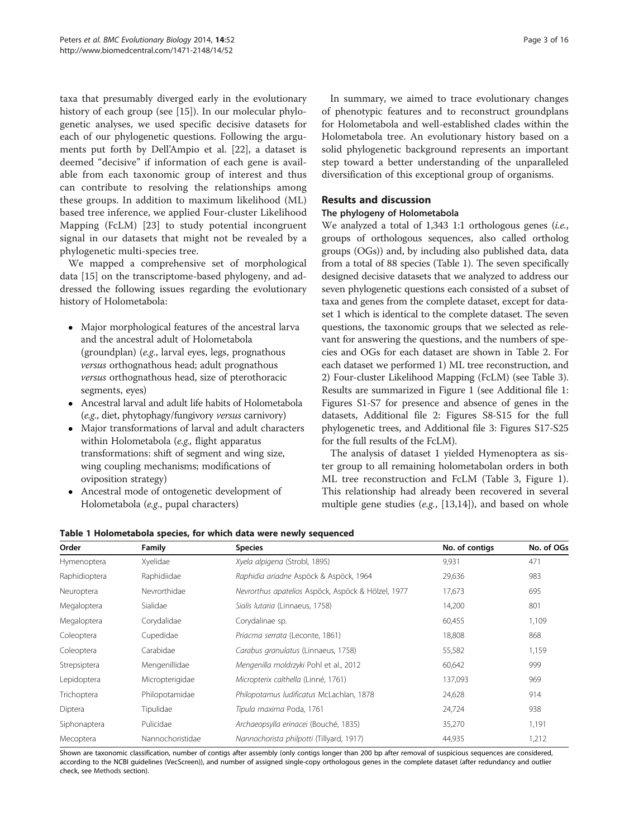<span id="page-2-0"></span>taxa that presumably diverged early in the evolutionary history of each group (see [[15\]](#page-14-0)). In our molecular phylogenetic analyses, we used specific decisive datasets for each of our phylogenetic questions. Following the arguments put forth by Dell'Ampio et al. [\[22](#page-14-0)], a dataset is deemed "decisive" if information of each gene is available from each taxonomic group of interest and thus can contribute to resolving the relationships among these groups. In addition to maximum likelihood (ML) based tree inference, we applied Four-cluster Likelihood Mapping (FcLM) [\[23](#page-14-0)] to study potential incongruent signal in our datasets that might not be revealed by a phylogenetic multi-species tree.

We mapped a comprehensive set of morphological data [\[15\]](#page-14-0) on the transcriptome-based phylogeny, and addressed the following issues regarding the evolutionary history of Holometabola:

- Major morphological features of the ancestral larva and the ancestral adult of Holometabola (groundplan) (e.g., larval eyes, legs, prognathous versus orthognathous head; adult prognathous versus orthognathous head, size of pterothoracic segments, eyes)
- Ancestral larval and adult life habits of Holometabola (e.g., diet, phytophagy/fungivory versus carnivory)
- Major transformations of larval and adult characters within Holometabola (e.g., flight apparatus transformations: shift of segment and wing size, wing coupling mechanisms; modifications of oviposition strategy)
- Ancestral mode of ontogenetic development of Holometabola (e.g., pupal characters)

In summary, we aimed to trace evolutionary changes of phenotypic features and to reconstruct groundplans for Holometabola and well-established clades within the Holometabola tree. An evolutionary history based on a solid phylogenetic background represents an important step toward a better understanding of the unparalleled diversification of this exceptional group of organisms.

## Results and discussion

#### The phylogeny of Holometabola

We analyzed a total of  $1,343$  1:1 orthologous genes (*i.e.*, groups of orthologous sequences, also called ortholog groups (OGs)) and, by including also published data, data from a total of 88 species (Table 1). The seven specifically designed decisive datasets that we analyzed to address our seven phylogenetic questions each consisted of a subset of taxa and genes from the complete dataset, except for dataset 1 which is identical to the complete dataset. The seven questions, the taxonomic groups that we selected as relevant for answering the questions, and the numbers of species and OGs for each dataset are shown in Table [2](#page-3-0). For each dataset we performed 1) ML tree reconstruction, and 2) Four-cluster Likelihood Mapping (FcLM) (see Table [3](#page-4-0)). Results are summarized in Figure [1](#page-5-0) (see Additional file [1](#page-13-0): Figures S1-S7 for presence and absence of genes in the datasets, Additional file [2:](#page-13-0) Figures S8-S15 for the full phylogenetic trees, and Additional file [3](#page-13-0): Figures S17-S25 for the full results of the FcLM).

The analysis of dataset 1 yielded Hymenoptera as sister group to all remaining holometabolan orders in both ML tree reconstruction and FcLM (Table [3](#page-4-0), Figure [1](#page-5-0)). This relationship had already been recovered in several multiple gene studies (e.g., [\[13,14\]](#page-14-0)), and based on whole

| Order         | Family           | <b>Species</b>                                     | No. of contigs | No. of OGs |
|---------------|------------------|----------------------------------------------------|----------------|------------|
| Hymenoptera   | Xyelidae         | Xyela alpigena (Strobl, 1895)                      | 9,931          | 471        |
| Raphidioptera | Raphidiidae      | Raphidia ariadne Aspöck & Aspöck, 1964             | 29,636         | 983        |
| Neuroptera    | Nevrorthidae     | Nevrorthus apatelios Aspöck, Aspöck & Hölzel, 1977 | 17,673         | 695        |
| Megaloptera   | Sialidae         | Sialis lutaria (Linnaeus, 1758)                    | 14,200         | 801        |
| Megaloptera   | Corydalidae      | Corydalinae sp.                                    | 60,455         | 1,109      |
| Coleoptera    | Cupedidae        | Priacma serrata (Leconte, 1861)                    | 18,808         | 868        |
| Coleoptera    | Carabidae        | Carabus granulatus (Linnaeus, 1758)                | 55,582         | 1,159      |
| Strepsiptera  | Mengenillidae    | Mengenilla moldrzyki Pohl et al., 2012             | 60,642         | 999        |
| Lepidoptera   | Micropterigidae  | Micropterix calthella (Linné, 1761)                | 137,093        | 969        |
| Trichoptera   | Philopotamidae   | Philopotamus Iudificatus McLachlan, 1878           | 24,628         | 914        |
| Diptera       | Tipulidae        | Tipula maxima Poda, 1761                           | 24,724         | 938        |
| Siphonaptera  | Pulicidae        | Archaeopsylla erinacei (Bouché, 1835)              | 35,270         | 1,191      |
| Mecoptera     | Nannochoristidae | Nannochorista philpotti (Tillyard, 1917)           | 44,935         | 1,212      |

#### Table 1 Holometabola species, for which data were newly sequenced

Shown are taxonomic classification, number of contigs after assembly (only contigs longer than 200 bp after removal of suspicious sequences are considered, according to the NCBI guidelines (VecScreen)), and number of assigned single-copy orthologous genes in the complete dataset (after redundancy and outlier check, see [Methods](#page-9-0) section).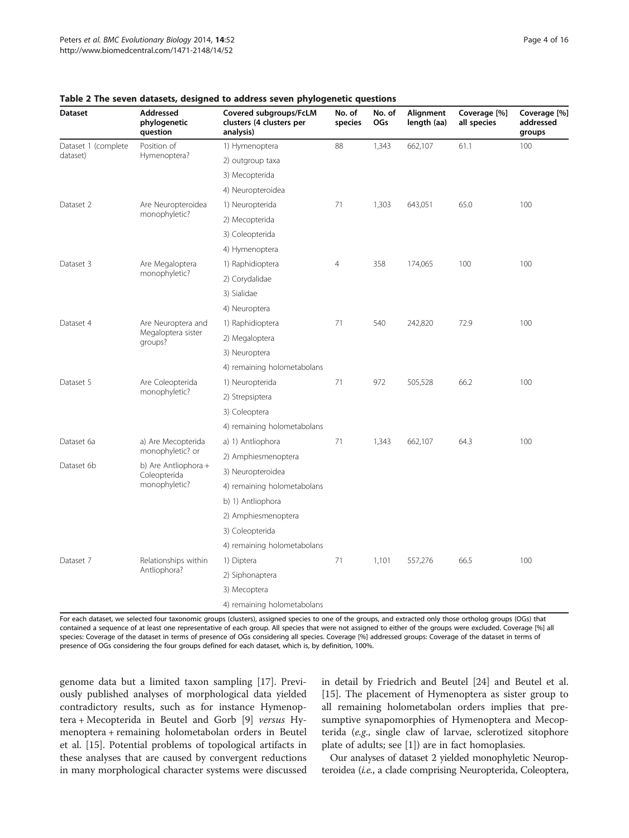| <b>Dataset</b>                  | Addressed<br>phylogenetic<br>question                 | Covered subgroups/FcLM<br>clusters (4 clusters per<br>analysis) | No. of<br>species | No. of<br>OGs | Alignment<br>length (aa) | Coverage [%]<br>all species | Coverage [%]<br>addressed<br>groups |
|---------------------------------|-------------------------------------------------------|-----------------------------------------------------------------|-------------------|---------------|--------------------------|-----------------------------|-------------------------------------|
| Dataset 1 (complete<br>dataset) | Position of<br>Hymenoptera?                           | 1) Hymenoptera                                                  | 88                | 1,343         | 662,107                  | 61.1                        | 100                                 |
|                                 |                                                       | 2) outgroup taxa                                                |                   |               |                          |                             |                                     |
|                                 |                                                       | 3) Mecopterida                                                  |                   |               |                          |                             |                                     |
|                                 |                                                       | 4) Neuropteroidea                                               |                   |               |                          |                             |                                     |
| Dataset 2                       | Are Neuropteroidea<br>monophyletic?                   | 1) Neuropterida                                                 | 71                | 1,303         | 643,051                  | 65.0                        | 100                                 |
|                                 |                                                       | 2) Mecopterida                                                  |                   |               |                          |                             |                                     |
|                                 |                                                       | 3) Coleopterida                                                 |                   |               |                          |                             |                                     |
|                                 |                                                       | 4) Hymenoptera                                                  |                   |               |                          |                             |                                     |
| Dataset 3                       | Are Megaloptera<br>monophyletic?                      | 1) Raphidioptera                                                | $\overline{4}$    | 358           | 174,065                  | 100                         | 100                                 |
|                                 |                                                       | 2) Corydalidae                                                  |                   |               |                          |                             |                                     |
|                                 |                                                       | 3) Sialidae                                                     |                   |               |                          |                             |                                     |
|                                 |                                                       | 4) Neuroptera                                                   |                   |               |                          |                             |                                     |
| Dataset 4                       | Are Neuroptera and<br>Megaloptera sister<br>groups?   | 1) Raphidioptera                                                | 71                | 540           | 242,820                  | 72.9                        | 100                                 |
|                                 |                                                       | 2) Megaloptera                                                  |                   |               |                          |                             |                                     |
|                                 |                                                       | 3) Neuroptera                                                   |                   |               |                          |                             |                                     |
|                                 |                                                       | 4) remaining holometabolans                                     |                   |               |                          |                             |                                     |
| Dataset 5                       | Are Coleopterida<br>monophyletic?                     | 1) Neuropterida                                                 | 71                | 972           | 505,528                  | 66.2                        | 100                                 |
|                                 |                                                       | 2) Strepsiptera                                                 |                   |               |                          |                             |                                     |
|                                 |                                                       | 3) Coleoptera                                                   |                   |               |                          |                             |                                     |
|                                 |                                                       | 4) remaining holometabolans                                     |                   |               |                          |                             |                                     |
| Dataset 6a                      | a) Are Mecopterida<br>monophyletic? or                | a) 1) Antliophora                                               | 71                | 1,343         | 662,107                  | 64.3                        | 100                                 |
|                                 |                                                       | 2) Amphiesmenoptera                                             |                   |               |                          |                             |                                     |
| Dataset 6b                      | b) Are Antliophora +<br>Coleopterida<br>monophyletic? | 3) Neuropteroidea                                               |                   |               |                          |                             |                                     |
|                                 |                                                       | 4) remaining holometabolans                                     |                   |               |                          |                             |                                     |
|                                 |                                                       | b) 1) Antliophora                                               |                   |               |                          |                             |                                     |
|                                 |                                                       | 2) Amphiesmenoptera                                             |                   |               |                          |                             |                                     |
|                                 |                                                       | 3) Coleopterida                                                 |                   |               |                          |                             |                                     |
|                                 |                                                       | 4) remaining holometabolans                                     |                   |               |                          |                             |                                     |
| Dataset 7                       | Relationships within<br>Antliophora?                  | 1) Diptera                                                      | 71                | 1,101         | 557,276                  | 66.5                        | 100                                 |
|                                 |                                                       | 2) Siphonaptera                                                 |                   |               |                          |                             |                                     |
|                                 |                                                       | 3) Mecoptera                                                    |                   |               |                          |                             |                                     |
|                                 |                                                       | 4) remaining holometabolans                                     |                   |               |                          |                             |                                     |

#### <span id="page-3-0"></span>Table 2 The seven datasets, designed to address seven phylogenetic questions

For each dataset, we selected four taxonomic groups (clusters), assigned species to one of the groups, and extracted only those ortholog groups (OGs) that contained a sequence of at least one representative of each group. All species that were not assigned to either of the groups were excluded. Coverage [%] all species: Coverage of the dataset in terms of presence of OGs considering all species. Coverage [%] addressed groups: Coverage of the dataset in terms of presence of OGs considering the four groups defined for each dataset, which is, by definition, 100%.

genome data but a limited taxon sampling [[17](#page-14-0)]. Previously published analyses of morphological data yielded contradictory results, such as for instance Hymenoptera + Mecopterida in Beutel and Gorb [\[9](#page-14-0)] versus Hymenoptera + remaining holometabolan orders in Beutel et al. [\[15](#page-14-0)]. Potential problems of topological artifacts in these analyses that are caused by convergent reductions in many morphological character systems were discussed in detail by Friedrich and Beutel [\[24\]](#page-14-0) and Beutel et al. [[15\]](#page-14-0). The placement of Hymenoptera as sister group to all remaining holometabolan orders implies that presumptive synapomorphies of Hymenoptera and Mecopterida (e.g., single claw of larvae, sclerotized sitophore plate of adults; see [[1\]](#page-14-0)) are in fact homoplasies.

Our analyses of dataset 2 yielded monophyletic Neuropteroidea (i.e., a clade comprising Neuropterida, Coleoptera,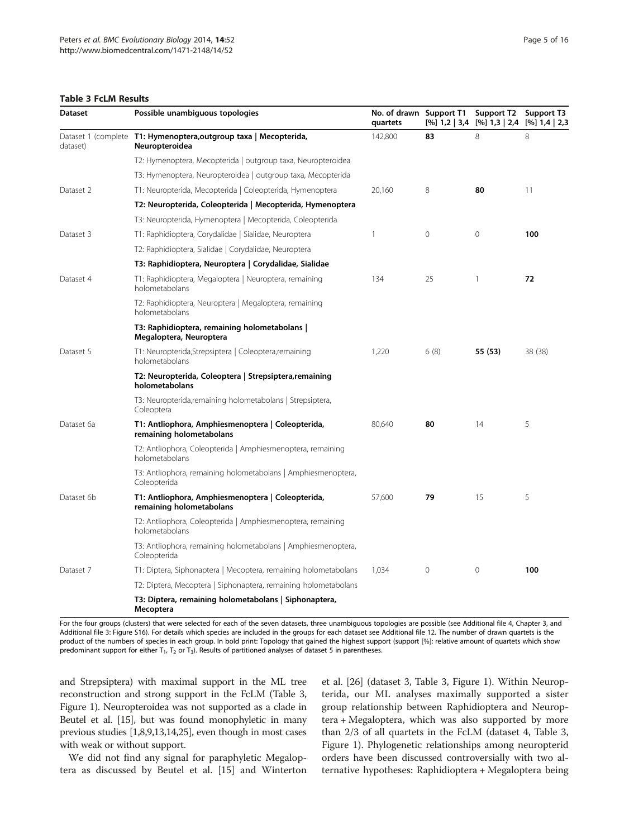#### <span id="page-4-0"></span>Table 3 FcLM Results

| <b>Dataset</b> | Possible unambiguous topologies                                                     | No. of drawn Support T1<br>quartets |             | Support T2<br>$[%]$ 1,2   3,4 $[%]$ 1,3   2,4 $[%]$ 1,4   2,3 | Support T3 |
|----------------|-------------------------------------------------------------------------------------|-------------------------------------|-------------|---------------------------------------------------------------|------------|
| dataset)       | Dataset 1 (complete T1: Hymenoptera, outgroup taxa   Mecopterida,<br>Neuropteroidea | 142,800                             | 83          | 8                                                             | 8          |
|                | T2: Hymenoptera, Mecopterida   outgroup taxa, Neuropteroidea                        |                                     |             |                                                               |            |
|                | T3: Hymenoptera, Neuropteroidea   outgroup taxa, Mecopterida                        |                                     |             |                                                               |            |
| Dataset 2      | T1: Neuropterida, Mecopterida   Coleopterida, Hymenoptera                           | 20,160                              | 8           | 80                                                            | 11         |
|                | T2: Neuropterida, Coleopterida   Mecopterida, Hymenoptera                           |                                     |             |                                                               |            |
|                | T3: Neuropterida, Hymenoptera   Mecopterida, Coleopterida                           |                                     |             |                                                               |            |
| Dataset 3      | T1: Raphidioptera, Corydalidae   Sialidae, Neuroptera                               | $\mathbf{1}$                        | $\mathbf 0$ | $\mathbf 0$                                                   | 100        |
|                | T2: Raphidioptera, Sialidae   Corydalidae, Neuroptera                               |                                     |             |                                                               |            |
|                | T3: Raphidioptera, Neuroptera   Corydalidae, Sialidae                               |                                     |             |                                                               |            |
| Dataset 4      | T1: Raphidioptera, Megaloptera   Neuroptera, remaining<br>holometabolans            | 134                                 | 25          | $\mathbf{1}$                                                  | 72         |
|                | T2: Raphidioptera, Neuroptera   Megaloptera, remaining<br>holometabolans            |                                     |             |                                                               |            |
|                | T3: Raphidioptera, remaining holometabolans  <br>Megaloptera, Neuroptera            |                                     |             |                                                               |            |
| Dataset 5      | T1: Neuropterida, Strepsiptera   Coleoptera, remaining<br>holometabolans            | 1,220                               | 6(8)        | 55 (53)                                                       | 38 (38)    |
|                | T2: Neuropterida, Coleoptera   Strepsiptera, remaining<br>holometabolans            |                                     |             |                                                               |            |
|                | T3: Neuropterida, remaining holometabolans   Strepsiptera,<br>Coleoptera            |                                     |             |                                                               |            |
| Dataset 6a     | T1: Antliophora, Amphiesmenoptera   Coleopterida,<br>remaining holometabolans       | 80,640                              | 80          | 14                                                            | 5          |
|                | T2: Antliophora, Coleopterida   Amphiesmenoptera, remaining<br>holometabolans       |                                     |             |                                                               |            |
|                | T3: Antliophora, remaining holometabolans   Amphiesmenoptera,<br>Coleopterida       |                                     |             |                                                               |            |
| Dataset 6b     | T1: Antliophora, Amphiesmenoptera   Coleopterida,<br>remaining holometabolans       | 57,600                              | 79          | 15                                                            | 5          |
|                | T2: Antliophora, Coleopterida   Amphiesmenoptera, remaining<br>holometabolans       |                                     |             |                                                               |            |
|                | T3: Antliophora, remaining holometabolans   Amphiesmenoptera,<br>Coleopterida       |                                     |             |                                                               |            |
| Dataset 7      | T1: Diptera, Siphonaptera   Mecoptera, remaining holometabolans                     | 1,034                               | $\mathbf 0$ | $\overline{0}$                                                | 100        |
|                | T2: Diptera, Mecoptera   Siphonaptera, remaining holometabolans                     |                                     |             |                                                               |            |
|                | T3: Diptera, remaining holometabolans   Siphonaptera,<br>Mecoptera                  |                                     |             |                                                               |            |

For the four groups (clusters) that were selected for each of the seven datasets, three unambiguous topologies are possible (see Additional file [4](#page-13-0), Chapter 3, and Additional file [3](#page-13-0): Figure S16). For details which species are included in the groups for each dataset see Additional file [12.](#page-13-0) The number of drawn quartets is the product of the numbers of species in each group. In bold print: Topology that gained the highest support (support [%]: relative amount of quartets which show predominant support for either  $T_1$ ,  $T_2$  or  $T_3$ ). Results of partitioned analyses of dataset 5 in parentheses.

and Strepsiptera) with maximal support in the ML tree reconstruction and strong support in the FcLM (Table 3, Figure [1\)](#page-5-0). Neuropteroidea was not supported as a clade in Beutel et al. [\[15\]](#page-14-0), but was found monophyletic in many previous studies [[1,8,9,13,14,25](#page-14-0)], even though in most cases with weak or without support.

We did not find any signal for paraphyletic Megaloptera as discussed by Beutel et al. [[15](#page-14-0)] and Winterton et al. [\[26](#page-14-0)] (dataset 3, Table 3, Figure [1\)](#page-5-0). Within Neuropterida, our ML analyses maximally supported a sister group relationship between Raphidioptera and Neuroptera + Megaloptera, which was also supported by more than 2/3 of all quartets in the FcLM (dataset 4, Table 3, Figure [1\)](#page-5-0). Phylogenetic relationships among neuropterid orders have been discussed controversially with two alternative hypotheses: Raphidioptera + Megaloptera being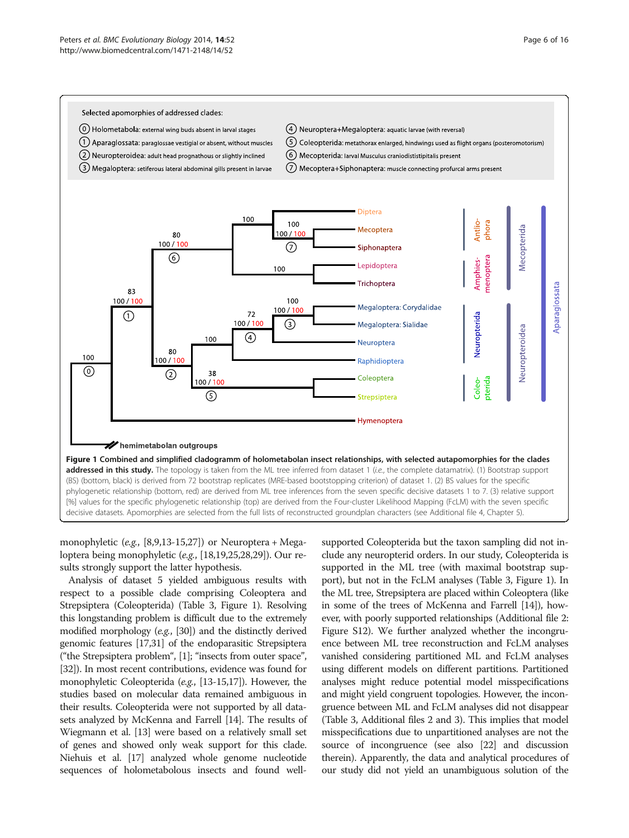<span id="page-5-0"></span>

monophyletic (e.g., [\[8,9,13](#page-14-0)-[15,27](#page-14-0)]) or Neuroptera + Megaloptera being monophyletic (e.g., [[18,19,25,28,29\]](#page-14-0)). Our results strongly support the latter hypothesis.

Analysis of dataset 5 yielded ambiguous results with respect to a possible clade comprising Coleoptera and Strepsiptera (Coleopterida) (Table [3,](#page-4-0) Figure 1). Resolving this longstanding problem is difficult due to the extremely modified morphology (e.g., [[30](#page-14-0)]) and the distinctly derived genomic features [[17,31\]](#page-14-0) of the endoparasitic Strepsiptera ("the Strepsiptera problem", [\[1](#page-14-0)]; "insects from outer space", [[32](#page-14-0)]). In most recent contributions, evidence was found for monophyletic Coleopterida (e.g., [\[13-15,17\]](#page-14-0)). However, the studies based on molecular data remained ambiguous in their results. Coleopterida were not supported by all datasets analyzed by McKenna and Farrell [\[14\]](#page-14-0). The results of Wiegmann et al. [\[13\]](#page-14-0) were based on a relatively small set of genes and showed only weak support for this clade. Niehuis et al. [\[17\]](#page-14-0) analyzed whole genome nucleotide sequences of holometabolous insects and found well-

supported Coleopterida but the taxon sampling did not include any neuropterid orders. In our study, Coleopterida is supported in the ML tree (with maximal bootstrap support), but not in the FcLM analyses (Table [3,](#page-4-0) Figure 1). In the ML tree, Strepsiptera are placed within Coleoptera (like in some of the trees of McKenna and Farrell [[14](#page-14-0)]), however, with poorly supported relationships (Additional file [2](#page-13-0): Figure S12). We further analyzed whether the incongruence between ML tree reconstruction and FcLM analyses vanished considering partitioned ML and FcLM analyses using different models on different partitions. Partitioned analyses might reduce potential model misspecifications and might yield congruent topologies. However, the incongruence between ML and FcLM analyses did not disappear (Table [3,](#page-4-0) Additional files [2](#page-13-0) and [3](#page-13-0)). This implies that model misspecifications due to unpartitioned analyses are not the source of incongruence (see also [[22](#page-14-0)] and discussion therein). Apparently, the data and analytical procedures of our study did not yield an unambiguous solution of the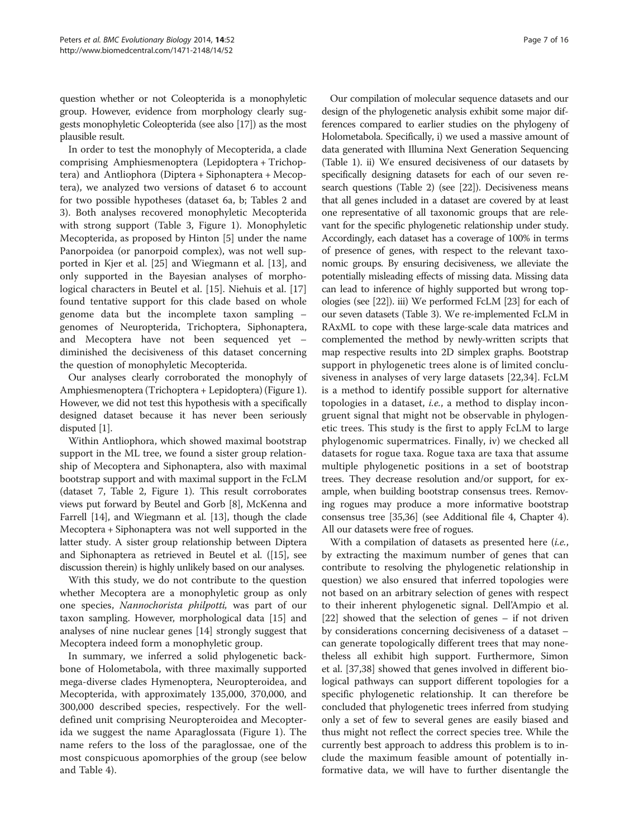question whether or not Coleopterida is a monophyletic group. However, evidence from morphology clearly suggests monophyletic Coleopterida (see also [\[17\]](#page-14-0)) as the most plausible result.

In order to test the monophyly of Mecopterida, a clade comprising Amphiesmenoptera (Lepidoptera + Trichoptera) and Antliophora (Diptera + Siphonaptera + Mecoptera), we analyzed two versions of dataset 6 to account for two possible hypotheses (dataset 6a, b; Tables [2](#page-3-0) and [3\)](#page-4-0). Both analyses recovered monophyletic Mecopterida with strong support (Table [3](#page-4-0), Figure [1\)](#page-5-0). Monophyletic Mecopterida, as proposed by Hinton [\[5\]](#page-14-0) under the name Panorpoidea (or panorpoid complex), was not well supported in Kjer et al. [\[25\]](#page-14-0) and Wiegmann et al. [[13\]](#page-14-0), and only supported in the Bayesian analyses of morphological characters in Beutel et al. [[15\]](#page-14-0). Niehuis et al. [[17](#page-14-0)] found tentative support for this clade based on whole genome data but the incomplete taxon sampling – genomes of Neuropterida, Trichoptera, Siphonaptera, and Mecoptera have not been sequenced yet – diminished the decisiveness of this dataset concerning the question of monophyletic Mecopterida.

Our analyses clearly corroborated the monophyly of Amphiesmenoptera (Trichoptera + Lepidoptera) (Figure [1](#page-5-0)). However, we did not test this hypothesis with a specifically designed dataset because it has never been seriously disputed [[1](#page-14-0)].

Within Antliophora, which showed maximal bootstrap support in the ML tree, we found a sister group relationship of Mecoptera and Siphonaptera, also with maximal bootstrap support and with maximal support in the FcLM (dataset 7, Table [2](#page-3-0), Figure [1](#page-5-0)). This result corroborates views put forward by Beutel and Gorb [[8\]](#page-14-0), McKenna and Farrell [\[14\]](#page-14-0), and Wiegmann et al. [\[13\]](#page-14-0), though the clade Mecoptera + Siphonaptera was not well supported in the latter study. A sister group relationship between Diptera and Siphonaptera as retrieved in Beutel et al. ([\[15](#page-14-0)], see [discussion](#page-2-0) therein) is highly unlikely based on our analyses.

With this study, we do not contribute to the question whether Mecoptera are a monophyletic group as only one species, Nannochorista philpotti, was part of our taxon sampling. However, morphological data [\[15\]](#page-14-0) and analyses of nine nuclear genes [[14](#page-14-0)] strongly suggest that Mecoptera indeed form a monophyletic group.

In summary, we inferred a solid phylogenetic backbone of Holometabola, with three maximally supported mega-diverse clades Hymenoptera, Neuropteroidea, and Mecopterida, with approximately 135,000, 370,000, and 300,000 described species, respectively. For the welldefined unit comprising Neuropteroidea and Mecopterida we suggest the name Aparaglossata (Figure [1](#page-5-0)). The name refers to the loss of the paraglossae, one of the most conspicuous apomorphies of the group (see below and Table [4](#page-7-0)).

Our compilation of molecular sequence datasets and our design of the phylogenetic analysis exhibit some major differences compared to earlier studies on the phylogeny of Holometabola. Specifically, i) we used a massive amount of data generated with Illumina Next Generation Sequencing (Table [1](#page-2-0)). ii) We ensured decisiveness of our datasets by specifically designing datasets for each of our seven research questions (Table [2\)](#page-3-0) (see [\[22](#page-14-0)]). Decisiveness means that all genes included in a dataset are covered by at least one representative of all taxonomic groups that are relevant for the specific phylogenetic relationship under study. Accordingly, each dataset has a coverage of 100% in terms of presence of genes, with respect to the relevant taxonomic groups. By ensuring decisiveness, we alleviate the potentially misleading effects of missing data. Missing data can lead to inference of highly supported but wrong topologies (see [\[22](#page-14-0)]). iii) We performed FcLM [\[23\]](#page-14-0) for each of our seven datasets (Table [3\)](#page-4-0). We re-implemented FcLM in RAxML to cope with these large-scale data matrices and complemented the method by newly-written scripts that map respective results into 2D simplex graphs. Bootstrap support in phylogenetic trees alone is of limited conclusiveness in analyses of very large datasets [[22,34\]](#page-14-0). FcLM is a method to identify possible support for alternative topologies in a dataset, i.e., a method to display incongruent signal that might not be observable in phylogenetic trees. This study is the first to apply FcLM to large phylogenomic supermatrices. Finally, iv) we checked all datasets for rogue taxa. Rogue taxa are taxa that assume multiple phylogenetic positions in a set of bootstrap trees. They decrease resolution and/or support, for example, when building bootstrap consensus trees. Removing rogues may produce a more informative bootstrap consensus tree [[35,36\]](#page-14-0) (see Additional file [4](#page-13-0), Chapter 4). All our datasets were free of rogues.

With a compilation of datasets as presented here  $(i.e.,$ by extracting the maximum number of genes that can contribute to resolving the phylogenetic relationship in question) we also ensured that inferred topologies were not based on an arbitrary selection of genes with respect to their inherent phylogenetic signal. Dell'Ampio et al. [[22\]](#page-14-0) showed that the selection of genes – if not driven by considerations concerning decisiveness of a dataset – can generate topologically different trees that may nonetheless all exhibit high support. Furthermore, Simon et al. [\[37,38](#page-14-0)] showed that genes involved in different biological pathways can support different topologies for a specific phylogenetic relationship. It can therefore be concluded that phylogenetic trees inferred from studying only a set of few to several genes are easily biased and thus might not reflect the correct species tree. While the currently best approach to address this problem is to include the maximum feasible amount of potentially informative data, we will have to further disentangle the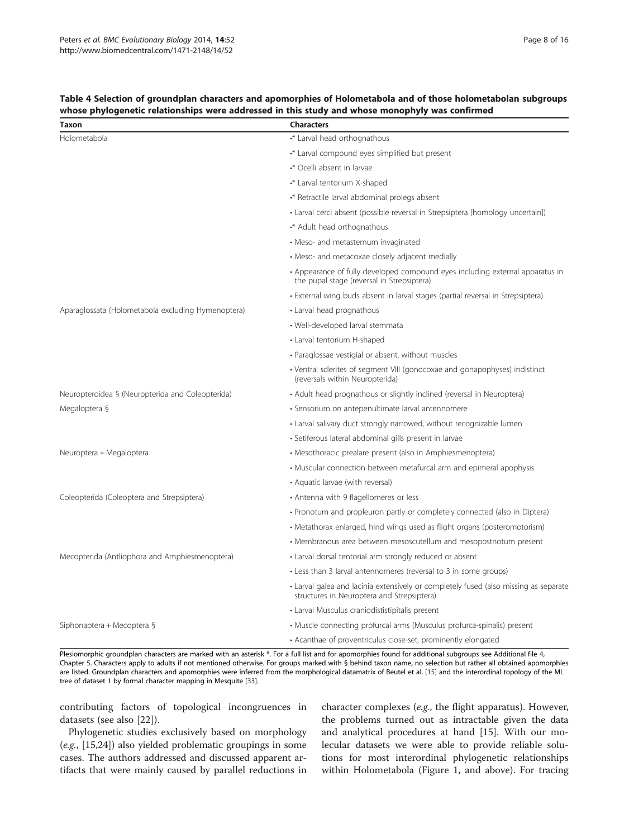| Taxon                                              | <b>Characters</b>                                                                                                                  |
|----------------------------------------------------|------------------------------------------------------------------------------------------------------------------------------------|
| Holometabola                                       | * Larval head orthognathous                                                                                                        |
|                                                    | * Larval compound eyes simplified but present                                                                                      |
|                                                    | •* Ocelli absent in larvae                                                                                                         |
|                                                    | * Larval tentorium X-shaped                                                                                                        |
|                                                    | ** Retractile larval abdominal prolegs absent                                                                                      |
|                                                    | • Larval cerci absent (possible reversal in Strepsiptera [homology uncertain])                                                     |
|                                                    | * Adult head orthognathous                                                                                                         |
|                                                    | • Meso- and metasternum invaginated                                                                                                |
|                                                    | • Meso- and metacoxae closely adjacent medially                                                                                    |
|                                                    | • Appearance of fully developed compound eyes including external apparatus in<br>the pupal stage (reversal in Strepsiptera)        |
|                                                    | · External wing buds absent in larval stages (partial reversal in Strepsiptera)                                                    |
| Aparaglossata (Holometabola excluding Hymenoptera) | • Larval head prognathous                                                                                                          |
|                                                    | • Well-developed larval stemmata                                                                                                   |
|                                                    | • Larval tentorium H-shaped                                                                                                        |
|                                                    | • Paraglossae vestigial or absent, without muscles                                                                                 |
|                                                    | • Ventral sclerites of segment VIII (gonocoxae and gonapophyses) indistinct<br>(reversals within Neuropterida)                     |
| Neuropteroidea § (Neuropterida and Coleopterida)   | • Adult head prognathous or slightly inclined (reversal in Neuroptera)                                                             |
| Megaloptera §                                      | · Sensorium on antepenultimate larval antennomere                                                                                  |
|                                                    | • Larval salivary duct strongly narrowed, without recognizable lumen                                                               |
|                                                    | • Setiferous lateral abdominal gills present in larvae                                                                             |
| Neuroptera + Megaloptera                           | • Mesothoracic prealare present (also in Amphiesmenoptera)                                                                         |
|                                                    | • Muscular connection between metafurcal arm and epimeral apophysis                                                                |
|                                                    | • Aquatic larvae (with reversal)                                                                                                   |
| Coleopterida (Coleoptera and Strepsiptera)         | • Antenna with 9 flagellomeres or less                                                                                             |
|                                                    | · Pronotum and propleuron partly or completely connected (also in Diptera)                                                         |
|                                                    | • Metathorax enlarged, hind wings used as flight organs (posteromotorism)                                                          |
|                                                    | • Membranous area between mesoscutellum and mesopostnotum present                                                                  |
| Mecopterida (Antliophora and Amphiesmenoptera)     | • Larval dorsal tentorial arm strongly reduced or absent                                                                           |
|                                                    | • Less than 3 larval antennomeres (reversal to 3 in some groups)                                                                   |
|                                                    | • Larval galea and lacinia extensively or completely fused (also missing as separate<br>structures in Neuroptera and Strepsiptera) |
|                                                    | • Larval Musculus craniodististipitalis present                                                                                    |
| Siphonaptera + Mecoptera §                         | • Muscle connecting profurcal arms (Musculus profurca-spinalis) present                                                            |
|                                                    | • Acanthae of proventriculus close-set, prominently elongated                                                                      |

#### <span id="page-7-0"></span>Table 4 Selection of groundplan characters and apomorphies of Holometabola and of those holometabolan subgroups whose phylogenetic relationships were addressed in this study and whose monophyly was confirmed

Plesiomorphic groundplan characters are marked with an asterisk \*. For a full list and for apomorphies found for additional subgroups see Additional file [4,](#page-13-0) Chapter 5. Characters apply to adults if not mentioned otherwise. For groups marked with § behind taxon name, no selection but rather all obtained apomorphies are listed. Groundplan characters and apomorphies were inferred from the morphological datamatrix of Beutel et al. [[15\]](#page-14-0) and the interordinal topology of the ML tree of dataset 1 by formal character mapping in Mesquite [\[33\]](#page-14-0).

contributing factors of topological incongruences in datasets (see also [[22\]](#page-14-0)).

Phylogenetic studies exclusively based on morphology (e.g., [[15,24\]](#page-14-0)) also yielded problematic groupings in some cases. The authors addressed and discussed apparent artifacts that were mainly caused by parallel reductions in

character complexes (e.g., the flight apparatus). However, the problems turned out as intractable given the data and analytical procedures at hand [[15](#page-14-0)]. With our molecular datasets we were able to provide reliable solutions for most interordinal phylogenetic relationships within Holometabola (Figure [1](#page-5-0), and above). For tracing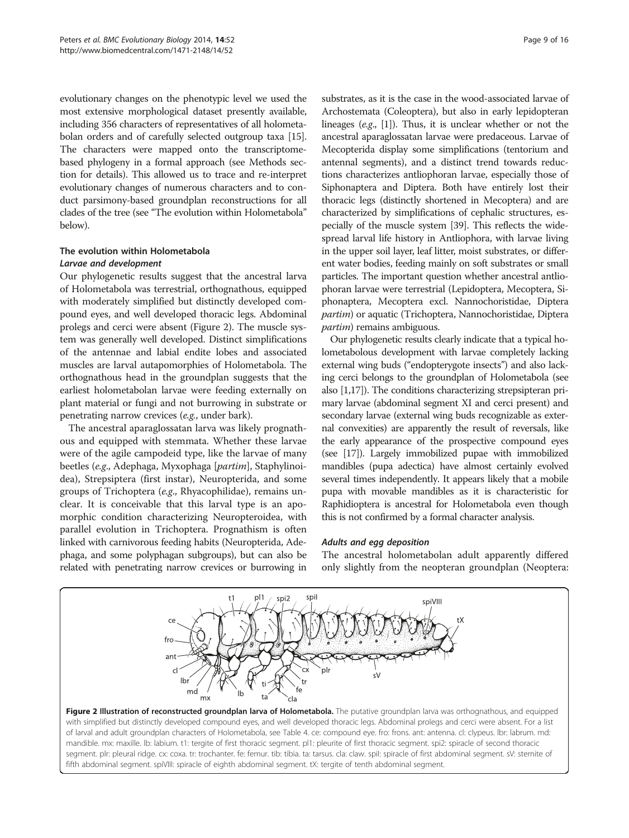<span id="page-8-0"></span>evolutionary changes on the phenotypic level we used the most extensive morphological dataset presently available, including 356 characters of representatives of all holometabolan orders and of carefully selected outgroup taxa [[15](#page-14-0)]. The characters were mapped onto the transcriptomebased phylogeny in a formal approach (see [Methods](#page-9-0) section for details). This allowed us to trace and re-interpret evolutionary changes of numerous characters and to conduct parsimony-based groundplan reconstructions for all clades of the tree (see "The evolution within Holometabola" below).

## The evolution within Holometabola Larvae and development

Our phylogenetic results suggest that the ancestral larva of Holometabola was terrestrial, orthognathous, equipped with moderately simplified but distinctly developed compound eyes, and well developed thoracic legs. Abdominal prolegs and cerci were absent (Figure 2). The muscle system was generally well developed. Distinct simplifications of the antennae and labial endite lobes and associated muscles are larval autapomorphies of Holometabola. The orthognathous head in the groundplan suggests that the earliest holometabolan larvae were feeding externally on plant material or fungi and not burrowing in substrate or penetrating narrow crevices (e.g., under bark).

The ancestral aparaglossatan larva was likely prognathous and equipped with stemmata. Whether these larvae were of the agile campodeid type, like the larvae of many beetles (e.g., Adephaga, Myxophaga [partim], Staphylinoidea), Strepsiptera (first instar), Neuropterida, and some groups of Trichoptera (e.g., Rhyacophilidae), remains unclear. It is conceivable that this larval type is an apomorphic condition characterizing Neuropteroidea, with parallel evolution in Trichoptera. Prognathism is often linked with carnivorous feeding habits (Neuropterida, Adephaga, and some polyphagan subgroups), but can also be related with penetrating narrow crevices or burrowing in

substrates, as it is the case in the wood-associated larvae of Archostemata (Coleoptera), but also in early lepidopteran lineages (e.g., [[1\]](#page-14-0)). Thus, it is unclear whether or not the ancestral aparaglossatan larvae were predaceous. Larvae of Mecopterida display some simplifications (tentorium and antennal segments), and a distinct trend towards reductions characterizes antliophoran larvae, especially those of Siphonaptera and Diptera. Both have entirely lost their thoracic legs (distinctly shortened in Mecoptera) and are characterized by simplifications of cephalic structures, especially of the muscle system [[39](#page-14-0)]. This reflects the widespread larval life history in Antliophora, with larvae living in the upper soil layer, leaf litter, moist substrates, or different water bodies, feeding mainly on soft substrates or small particles. The important question whether ancestral antliophoran larvae were terrestrial (Lepidoptera, Mecoptera, Siphonaptera, Mecoptera excl. Nannochoristidae, Diptera partim) or aquatic (Trichoptera, Nannochoristidae, Diptera partim) remains ambiguous.

Our phylogenetic results clearly indicate that a typical holometabolous development with larvae completely lacking external wing buds ("endopterygote insects") and also lacking cerci belongs to the groundplan of Holometabola (see also [\[1,17\]](#page-14-0)). The conditions characterizing strepsipteran primary larvae (abdominal segment XI and cerci present) and secondary larvae (external wing buds recognizable as external convexities) are apparently the result of reversals, like the early appearance of the prospective compound eyes (see [\[17](#page-14-0)]). Largely immobilized pupae with immobilized mandibles (pupa adectica) have almost certainly evolved several times independently. It appears likely that a mobile pupa with movable mandibles as it is characteristic for Raphidioptera is ancestral for Holometabola even though this is not confirmed by a formal character analysis.

#### Adults and egg deposition

The ancestral holometabolan adult apparently differed only slightly from the neopteran groundplan (Neoptera:



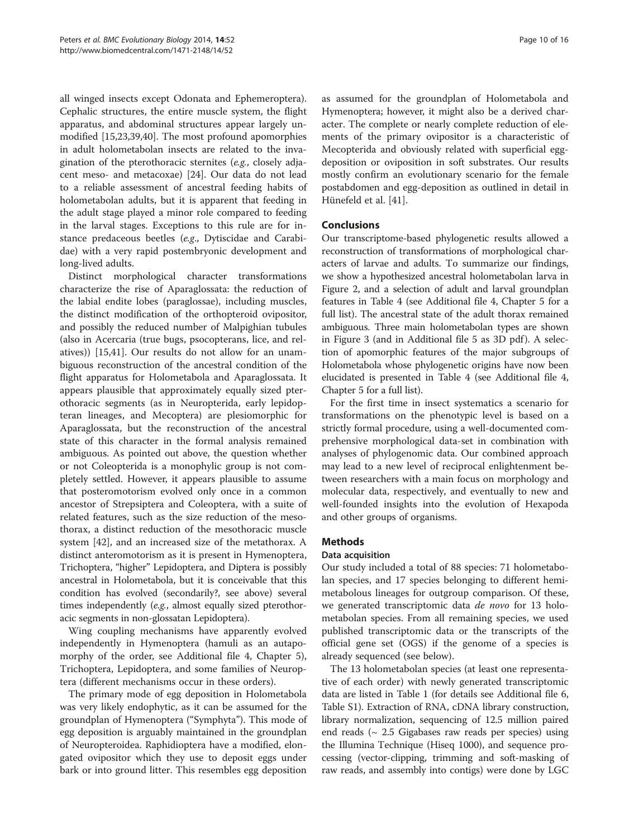<span id="page-9-0"></span>all winged insects except Odonata and Ephemeroptera). Cephalic structures, the entire muscle system, the flight apparatus, and abdominal structures appear largely unmodified [\[15,23,39,40\]](#page-14-0). The most profound apomorphies in adult holometabolan insects are related to the invagination of the pterothoracic sternites (e.g., closely adjacent meso- and metacoxae) [\[24](#page-14-0)]. Our data do not lead to a reliable assessment of ancestral feeding habits of holometabolan adults, but it is apparent that feeding in the adult stage played a minor role compared to feeding in the larval stages. Exceptions to this rule are for instance predaceous beetles (e.g., Dytiscidae and Carabidae) with a very rapid postembryonic development and long-lived adults.

Distinct morphological character transformations characterize the rise of Aparaglossata: the reduction of the labial endite lobes (paraglossae), including muscles, the distinct modification of the orthopteroid ovipositor, and possibly the reduced number of Malpighian tubules (also in Acercaria (true bugs, psocopterans, lice, and relatives)) [\[15,41\]](#page-14-0). Our results do not allow for an unambiguous reconstruction of the ancestral condition of the flight apparatus for Holometabola and Aparaglossata. It appears plausible that approximately equally sized pterothoracic segments (as in Neuropterida, early lepidopteran lineages, and Mecoptera) are plesiomorphic for Aparaglossata, but the reconstruction of the ancestral state of this character in the formal analysis remained ambiguous. As pointed out above, the question whether or not Coleopterida is a monophylic group is not completely settled. However, it appears plausible to assume that posteromotorism evolved only once in a common ancestor of Strepsiptera and Coleoptera, with a suite of related features, such as the size reduction of the mesothorax, a distinct reduction of the mesothoracic muscle system [\[42](#page-15-0)], and an increased size of the metathorax. A distinct anteromotorism as it is present in Hymenoptera, Trichoptera, "higher" Lepidoptera, and Diptera is possibly ancestral in Holometabola, but it is conceivable that this condition has evolved (secondarily?, see above) several times independently (e.g., almost equally sized pterothoracic segments in non-glossatan Lepidoptera).

Wing coupling mechanisms have apparently evolved independently in Hymenoptera (hamuli as an autapomorphy of the order, see Additional file [4,](#page-13-0) Chapter 5), Trichoptera, Lepidoptera, and some families of Neuroptera (different mechanisms occur in these orders).

The primary mode of egg deposition in Holometabola was very likely endophytic, as it can be assumed for the groundplan of Hymenoptera ("Symphyta"). This mode of egg deposition is arguably maintained in the groundplan of Neuropteroidea. Raphidioptera have a modified, elongated ovipositor which they use to deposit eggs under bark or into ground litter. This resembles egg deposition

as assumed for the groundplan of Holometabola and Hymenoptera; however, it might also be a derived character. The complete or nearly complete reduction of elements of the primary ovipositor is a characteristic of Mecopterida and obviously related with superficial eggdeposition or oviposition in soft substrates. Our results mostly confirm an evolutionary scenario for the female postabdomen and egg-deposition as outlined in detail in Hünefeld et al. [\[41\]](#page-14-0).

## Conclusions

Our transcriptome-based phylogenetic results allowed a reconstruction of transformations of morphological characters of larvae and adults. To summarize our findings, we show a hypothesized ancestral holometabolan larva in Figure [2,](#page-8-0) and a selection of adult and larval groundplan features in Table [4](#page-7-0) (see Additional file [4,](#page-13-0) Chapter 5 for a full list). The ancestral state of the adult thorax remained ambiguous. Three main holometabolan types are shown in Figure [3](#page-10-0) (and in Additional file [5](#page-13-0) as 3D pdf). A selection of apomorphic features of the major subgroups of Holometabola whose phylogenetic origins have now been elucidated is presented in Table [4](#page-7-0) (see Additional file [4](#page-13-0), Chapter 5 for a full list).

For the first time in insect systematics a scenario for transformations on the phenotypic level is based on a strictly formal procedure, using a well-documented comprehensive morphological data-set in combination with analyses of phylogenomic data. Our combined approach may lead to a new level of reciprocal enlightenment between researchers with a main focus on morphology and molecular data, respectively, and eventually to new and well-founded insights into the evolution of Hexapoda and other groups of organisms.

## Methods

### Data acquisition

Our study included a total of 88 species: 71 holometabolan species, and 17 species belonging to different hemimetabolous lineages for outgroup comparison. Of these, we generated transcriptomic data *de novo* for 13 holometabolan species. From all remaining species, we used published transcriptomic data or the transcripts of the official gene set (OGS) if the genome of a species is already sequenced (see below).

The 13 holometabolan species (at least one representative of each order) with newly generated transcriptomic data are listed in Table [1](#page-2-0) (for details see Additional file [6](#page-13-0), Table S1). Extraction of RNA, cDNA library construction, library normalization, sequencing of 12.5 million paired end reads ( $\sim$  2.5 Gigabases raw reads per species) using the Illumina Technique (Hiseq 1000), and sequence processing (vector-clipping, trimming and soft-masking of raw reads, and assembly into contigs) were done by LGC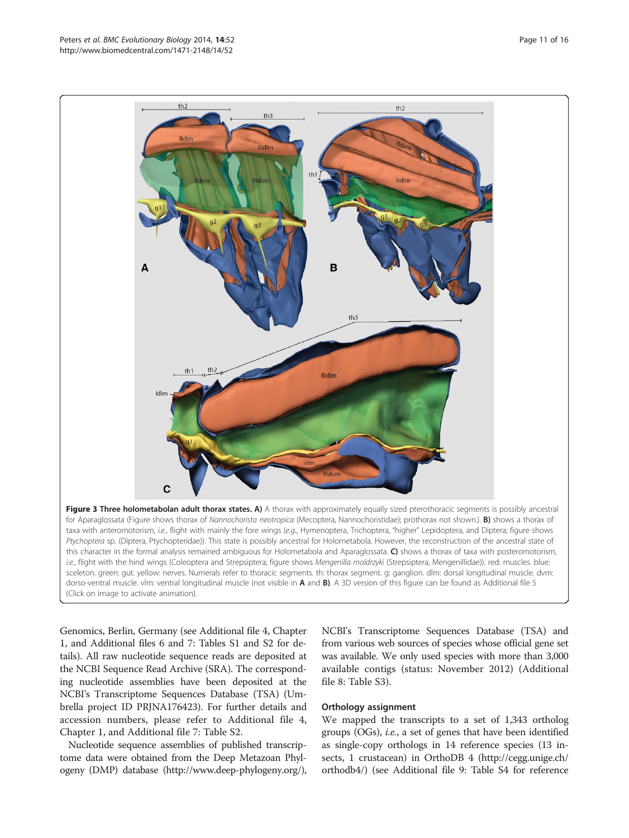Genomics, Berlin, Germany (see Additional file [4](#page-13-0), Chapter 1, and Additional files [6](#page-13-0) and [7:](#page-13-0) Tables S1 and S2 for details). All raw nucleotide sequence reads are deposited at the NCBI Sequence Read Archive (SRA). The corresponding nucleotide assemblies have been deposited at the NCBI's Transcriptome Sequences Database (TSA) (Umbrella project ID PRJNA176423). For further details and accession numbers, please refer to Additional file [4](#page-13-0), Chapter 1, and Additional file [7:](#page-13-0) Table S2.

Nucleotide sequence assemblies of published transcriptome data were obtained from the Deep Metazoan Phylogeny (DMP) database [\(http://www.deep-phylogeny.org/](http://www.deep-phylogeny.org/)), NCBI's Transcriptome Sequences Database (TSA) and from various web sources of species whose official gene set was available. We only used species with more than 3,000 available contigs (status: November 2012) (Additional file [8](#page-13-0): Table S3).

#### Orthology assignment

We mapped the transcripts to a set of 1,343 ortholog groups (OGs), i.e., a set of genes that have been identified as single-copy orthologs in 14 reference species (13 insects, 1 crustacean) in OrthoDB 4 [\(http://cegg.unige.ch/](http://cegg.unige.ch/orthodb4/) [orthodb4/](http://cegg.unige.ch/orthodb4/)) (see Additional file [9:](#page-13-0) Table S4 for reference

<span id="page-10-0"></span>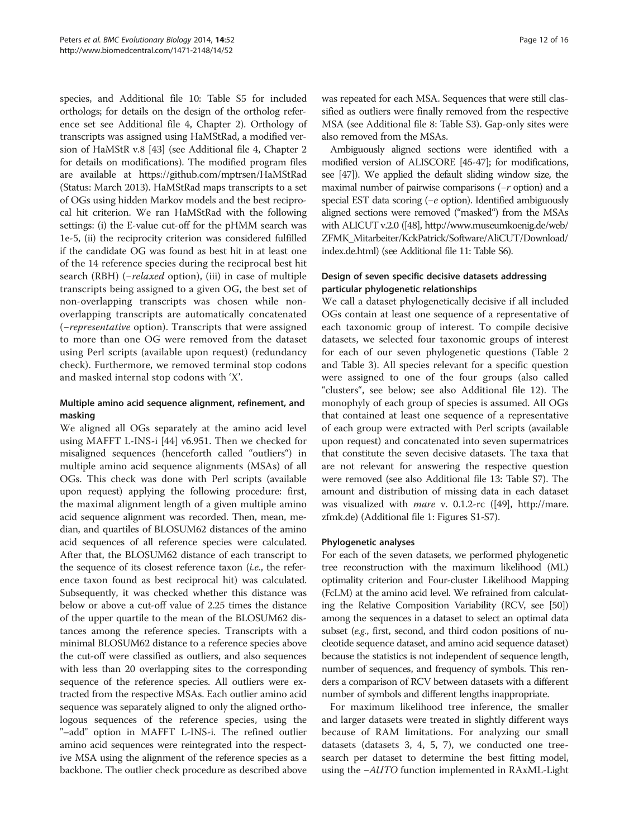species, and Additional file [10](#page-13-0): Table S5 for included orthologs; for details on the design of the ortholog reference set see Additional file [4,](#page-13-0) Chapter 2). Orthology of transcripts was assigned using HaMStRad, a modified version of HaMStR v.8 [[43](#page-15-0)] (see Additional file [4,](#page-13-0) Chapter 2 for details on modifications). The modified program files are available at<https://github.com/mptrsen/HaMStRad> (Status: March 2013). HaMStRad maps transcripts to a set of OGs using hidden Markov models and the best reciprocal hit criterion. We ran HaMStRad with the following settings: (i) the E-value cut-off for the pHMM search was 1e-5, (ii) the reciprocity criterion was considered fulfilled if the candidate OG was found as best hit in at least one of the 14 reference species during the reciprocal best hit search (RBH) (*−relaxed* option), (iii) in case of multiple transcripts being assigned to a given OG, the best set of non-overlapping transcripts was chosen while nonoverlapping transcripts are automatically concatenated (−representative option). Transcripts that were assigned to more than one OG were removed from the dataset using Perl scripts (available upon request) (redundancy check). Furthermore, we removed terminal stop codons and masked internal stop codons with 'X'.

## Multiple amino acid sequence alignment, refinement, and masking

We aligned all OGs separately at the amino acid level using MAFFT L-INS-i [[44](#page-15-0)] v6.951. Then we checked for misaligned sequences (henceforth called "outliers") in multiple amino acid sequence alignments (MSAs) of all OGs. This check was done with Perl scripts (available upon request) applying the following procedure: first, the maximal alignment length of a given multiple amino acid sequence alignment was recorded. Then, mean, median, and quartiles of BLOSUM62 distances of the amino acid sequences of all reference species were calculated. After that, the BLOSUM62 distance of each transcript to the sequence of its closest reference taxon (i.e., the reference taxon found as best reciprocal hit) was calculated. Subsequently, it was checked whether this distance was below or above a cut-off value of 2.25 times the distance of the upper quartile to the mean of the BLOSUM62 distances among the reference species. Transcripts with a minimal BLOSUM62 distance to a reference species above the cut-off were classified as outliers, and also sequences with less than 20 overlapping sites to the corresponding sequence of the reference species. All outliers were extracted from the respective MSAs. Each outlier amino acid sequence was separately aligned to only the aligned orthologous sequences of the reference species, using the "–add" option in MAFFT L-INS-i. The refined outlier amino acid sequences were reintegrated into the respective MSA using the alignment of the reference species as a backbone. The outlier check procedure as described above was repeated for each MSA. Sequences that were still classified as outliers were finally removed from the respective MSA (see Additional file [8:](#page-13-0) Table S3). Gap-only sites were also removed from the MSAs.

Ambiguously aligned sections were identified with a modified version of ALISCORE [\[45-47](#page-15-0)]; for modifications, see [[47](#page-15-0)]). We applied the default sliding window size, the maximal number of pairwise comparisons (−r option) and a special EST data scoring (−e option). Identified ambiguously aligned sections were removed ("masked") from the MSAs with ALICUT v.2.0 ([\[48](#page-15-0)], [http://www.museumkoenig.de/web/](http://www.museumkoenig.de/web/ZFMK_Mitarbeiter/KckPatrick/Software/AliCUT/Download/index.de.html) [ZFMK\\_Mitarbeiter/KckPatrick/Software/AliCUT/Download/](http://www.museumkoenig.de/web/ZFMK_Mitarbeiter/KckPatrick/Software/AliCUT/Download/index.de.html) [index.de.html](http://www.museumkoenig.de/web/ZFMK_Mitarbeiter/KckPatrick/Software/AliCUT/Download/index.de.html)) (see Additional file [11](#page-13-0): Table S6).

### Design of seven specific decisive datasets addressing particular phylogenetic relationships

We call a dataset phylogenetically decisive if all included OGs contain at least one sequence of a representative of each taxonomic group of interest. To compile decisive datasets, we selected four taxonomic groups of interest for each of our seven phylogenetic questions (Table [2](#page-3-0) and Table [3\)](#page-4-0). All species relevant for a specific question were assigned to one of the four groups (also called "clusters", see below; see also Additional file [12](#page-13-0)). The monophyly of each group of species is assumed. All OGs that contained at least one sequence of a representative of each group were extracted with Perl scripts (available upon request) and concatenated into seven supermatrices that constitute the seven decisive datasets. The taxa that are not relevant for answering the respective question were removed (see also Additional file [13:](#page-13-0) Table S7). The amount and distribution of missing data in each dataset was visualized with mare v. 0.1.2-rc ([[49](#page-15-0)], [http://mare.](http://mare.zfmk.de) [zfmk.de](http://mare.zfmk.de)) (Additional file [1](#page-13-0): Figures S1-S7).

#### Phylogenetic analyses

For each of the seven datasets, we performed phylogenetic tree reconstruction with the maximum likelihood (ML) optimality criterion and Four-cluster Likelihood Mapping (FcLM) at the amino acid level. We refrained from calculating the Relative Composition Variability (RCV, see [\[50](#page-15-0)]) among the sequences in a dataset to select an optimal data subset (e.g., first, second, and third codon positions of nucleotide sequence dataset, and amino acid sequence dataset) because the statistics is not independent of sequence length, number of sequences, and frequency of symbols. This renders a comparison of RCV between datasets with a different number of symbols and different lengths inappropriate.

For maximum likelihood tree inference, the smaller and larger datasets were treated in slightly different ways because of RAM limitations. For analyzing our small datasets (datasets 3, 4, 5, 7), we conducted one treesearch per dataset to determine the best fitting model, using the −AUTO function implemented in RAxML-Light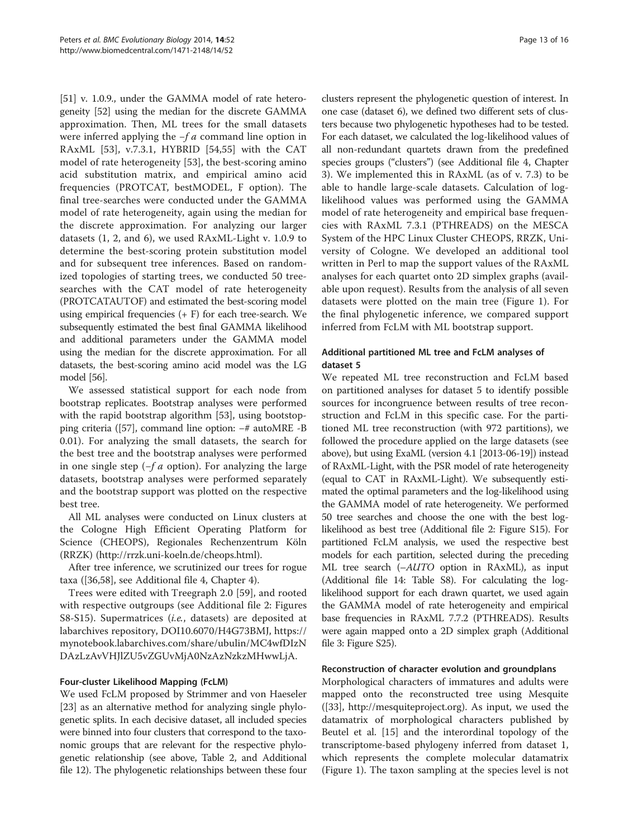[[51](#page-15-0)] v. 1.0.9., under the GAMMA model of rate heterogeneity [\[52\]](#page-15-0) using the median for the discrete GAMMA approximation. Then, ML trees for the small datasets were inferred applying the  $-f a$  command line option in RAxML [\[53](#page-15-0)], v.7.3.1, HYBRID [[54,55](#page-15-0)] with the CAT model of rate heterogeneity [\[53](#page-15-0)], the best-scoring amino acid substitution matrix, and empirical amino acid frequencies (PROTCAT, bestMODEL, F option). The final tree-searches were conducted under the GAMMA model of rate heterogeneity, again using the median for the discrete approximation. For analyzing our larger datasets (1, 2, and 6), we used RAxML-Light v. 1.0.9 to determine the best-scoring protein substitution model and for subsequent tree inferences. Based on randomized topologies of starting trees, we conducted 50 treesearches with the CAT model of rate heterogeneity (PROTCATAUTOF) and estimated the best-scoring model using empirical frequencies (+ F) for each tree-search. We subsequently estimated the best final GAMMA likelihood and additional parameters under the GAMMA model using the median for the discrete approximation. For all datasets, the best-scoring amino acid model was the LG model [\[56\]](#page-15-0).

We assessed statistical support for each node from bootstrap replicates. Bootstrap analyses were performed with the rapid bootstrap algorithm [\[53](#page-15-0)], using bootstopping criteria ([\[57\]](#page-15-0), command line option: −# autoMRE -B 0.01). For analyzing the small datasets, the search for the best tree and the bootstrap analyses were performed in one single step  $(-f \, a \, \text{option})$ . For analyzing the large datasets, bootstrap analyses were performed separately and the bootstrap support was plotted on the respective best tree.

All ML analyses were conducted on Linux clusters at the Cologne High Efficient Operating Platform for Science (CHEOPS), Regionales Rechenzentrum Köln (RRZK) (<http://rrzk.uni-koeln.de/cheops.html>).

After tree inference, we scrutinized our trees for rogue taxa ([[36,](#page-14-0)[58\]](#page-15-0), see Additional file [4,](#page-13-0) Chapter 4).

Trees were edited with Treegraph 2.0 [[59\]](#page-15-0), and rooted with respective outgroups (see Additional file [2](#page-13-0): Figures S8-S15). Supermatrices (*i.e.*, datasets) are deposited at labarchives repository, DOI10.6070/H4G73BMJ, [https://](https://mynotebook.labarchives.com/share/ubulin/MC4wfDIzNDAzLzAvVHJlZU5vZGUvMjA0NzAzNzkzMHwwLjA) [mynotebook.labarchives.com/share/ubulin/MC4wfDIzN](https://mynotebook.labarchives.com/share/ubulin/MC4wfDIzNDAzLzAvVHJlZU5vZGUvMjA0NzAzNzkzMHwwLjA) [DAzLzAvVHJlZU5vZGUvMjA0NzAzNzkzMHwwLjA.](https://mynotebook.labarchives.com/share/ubulin/MC4wfDIzNDAzLzAvVHJlZU5vZGUvMjA0NzAzNzkzMHwwLjA)

#### Four-cluster Likelihood Mapping (FcLM)

We used FcLM proposed by Strimmer and von Haeseler [[23\]](#page-14-0) as an alternative method for analyzing single phylogenetic splits. In each decisive dataset, all included species were binned into four clusters that correspond to the taxonomic groups that are relevant for the respective phylogenetic relationship (see above, Table [2](#page-3-0), and Additional file [12](#page-13-0)). The phylogenetic relationships between these four

clusters represent the phylogenetic question of interest. In one case (dataset 6), we defined two different sets of clusters because two phylogenetic hypotheses had to be tested. For each dataset, we calculated the log-likelihood values of all non-redundant quartets drawn from the predefined species groups ("clusters") (see Additional file [4](#page-13-0), Chapter 3). We implemented this in RAxML (as of v. 7.3) to be able to handle large-scale datasets. Calculation of loglikelihood values was performed using the GAMMA model of rate heterogeneity and empirical base frequencies with RAxML 7.3.1 (PTHREADS) on the MESCA System of the HPC Linux Cluster CHEOPS, RRZK, University of Cologne. We developed an additional tool written in Perl to map the support values of the RAxML analyses for each quartet onto 2D simplex graphs (available upon request). Results from the analysis of all seven datasets were plotted on the main tree (Figure [1\)](#page-5-0). For the final phylogenetic inference, we compared support inferred from FcLM with ML bootstrap support.

## Additional partitioned ML tree and FcLM analyses of dataset 5

We repeated ML tree reconstruction and FcLM based on partitioned analyses for dataset 5 to identify possible sources for incongruence between results of tree reconstruction and FcLM in this specific case. For the partitioned ML tree reconstruction (with 972 partitions), we followed the procedure applied on the large datasets (see above), but using ExaML (version 4.1 [2013-06-19]) instead of RAxML-Light, with the PSR model of rate heterogeneity (equal to CAT in RAxML-Light). We subsequently estimated the optimal parameters and the log-likelihood using the GAMMA model of rate heterogeneity. We performed 50 tree searches and choose the one with the best loglikelihood as best tree (Additional file [2](#page-13-0): Figure S15). For partitioned FcLM analysis, we used the respective best models for each partition, selected during the preceding ML tree search (–AUTO option in RAxML), as input (Additional file [14](#page-13-0): Table S8). For calculating the loglikelihood support for each drawn quartet, we used again the GAMMA model of rate heterogeneity and empirical base frequencies in RAxML 7.7.2 (PTHREADS). Results were again mapped onto a 2D simplex graph (Additional file [3:](#page-13-0) Figure S25).

#### Reconstruction of character evolution and groundplans

Morphological characters of immatures and adults were mapped onto the reconstructed tree using Mesquite ([\[33\]](#page-14-0),<http://mesquiteproject.org>). As input, we used the datamatrix of morphological characters published by Beutel et al. [[15](#page-14-0)] and the interordinal topology of the transcriptome-based phylogeny inferred from dataset 1, which represents the complete molecular datamatrix (Figure [1\)](#page-5-0). The taxon sampling at the species level is not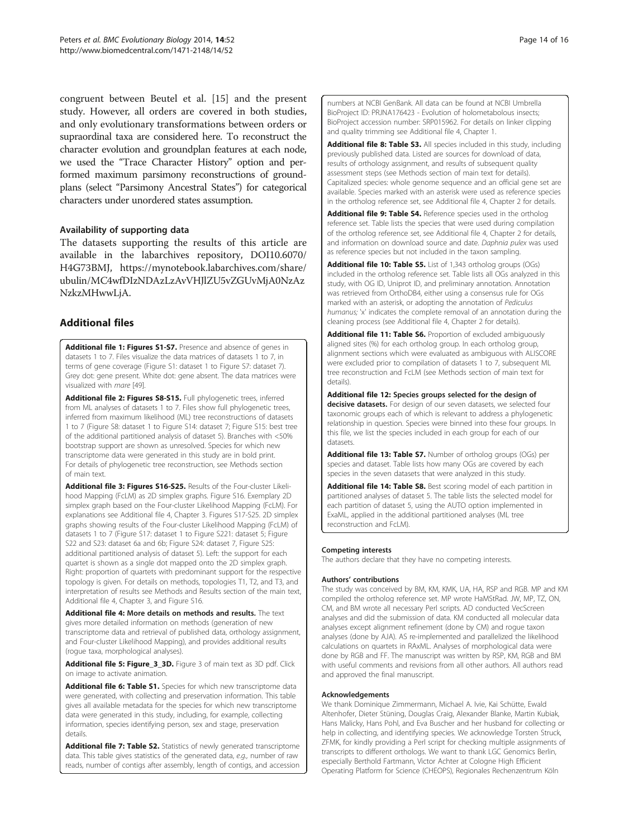<span id="page-13-0"></span>congruent between Beutel et al. [[15\]](#page-14-0) and the present study. However, all orders are covered in both studies, and only evolutionary transformations between orders or supraordinal taxa are considered here. To reconstruct the character evolution and groundplan features at each node, we used the "Trace Character History" option and performed maximum parsimony reconstructions of groundplans (select "Parsimony Ancestral States") for categorical characters under unordered states assumption.

#### Availability of supporting data

The datasets supporting the results of this article are available in the labarchives repository, DOI10.6070/ H4G73BMJ, [https://mynotebook.labarchives.com/share/](https://mynotebook.labarchives.com/share/ubulin/MC4wfDIzNDAzLzAvVHJlZU5vZGUvMjA0NzAzNzkzMHwwLjA) [ubulin/MC4wfDIzNDAzLzAvVHJlZU5vZGUvMjA0NzAz](https://mynotebook.labarchives.com/share/ubulin/MC4wfDIzNDAzLzAvVHJlZU5vZGUvMjA0NzAzNzkzMHwwLjA) [NzkzMHwwLjA](https://mynotebook.labarchives.com/share/ubulin/MC4wfDIzNDAzLzAvVHJlZU5vZGUvMjA0NzAzNzkzMHwwLjA).

## Additional files

[Additional file 1: Figures S1-S7.](http://www.biomedcentral.com/content/supplementary/1471-2148-14-52-S1.pdf) Presence and absence of genes in datasets 1 to 7. Files visualize the data matrices of datasets 1 to 7, in terms of gene coverage (Figure S1: dataset 1 to Figure S7: dataset 7). Grey dot: gene present. White dot: gene absent. The data matrices were visualized with mare [[49\]](#page-15-0).

[Additional file 2: Figures S8-S15.](http://www.biomedcentral.com/content/supplementary/1471-2148-14-52-S2.pdf) Full phylogenetic trees, inferred from ML analyses of datasets 1 to 7. Files show full phylogenetic trees, inferred from maximum likelihood (ML) tree reconstructions of datasets 1 to 7 (Figure S8: dataset 1 to Figure S14: dataset 7; Figure S15: best tree of the additional partitioned analysis of dataset 5). Branches with <50% bootstrap support are shown as unresolved. Species for which new transcriptome data were generated in this study are in bold print. For details of phylogenetic tree reconstruction, see [Methods](#page-9-0) section of main text.

[Additional file 3: Figures S16-S25.](http://www.biomedcentral.com/content/supplementary/1471-2148-14-52-S3.pdf) Results of the Four-cluster Likelihood Mapping (FcLM) as 2D simplex graphs. Figure S16. Exemplary 2D simplex graph based on the Four-cluster Likelihood Mapping (FcLM). For explanations see Additional file 4, Chapter 3, Figures S17-S25, 2D simplex graphs showing results of the Four-cluster Likelihood Mapping (FcLM) of datasets 1 to 7 (Figure S17: dataset 1 to Figure S221: dataset 5; Figure S22 and S23: dataset 6a and 6b; Figure S24: dataset 7, Figure S25: additional partitioned analysis of dataset 5). Left: the support for each quartet is shown as a single dot mapped onto the 2D simplex graph. Right: proportion of quartets with predominant support for the respective topology is given. For details on methods, topologies T1, T2, and T3, and interpretation of results see [Methods](#page-9-0) and [Results](#page-2-0) section of the main text, Additional file 4, Chapter 3, and Figure S16.

[Additional file 4:](http://www.biomedcentral.com/content/supplementary/1471-2148-14-52-S4.pdf) More details on methods and results. The text gives more detailed information on methods (generation of new transcriptome data and retrieval of published data, orthology assignment, and Four-cluster Likelihood Mapping), and provides additional results (rogue taxa, morphological analyses).

[Additional file 5: Figure\\_3\\_3D.](http://www.biomedcentral.com/content/supplementary/1471-2148-14-52-S5.pdf) Figure [3](#page-10-0) of main text as 3D pdf. Click on image to activate animation.

[Additional file 6: Table S1.](http://www.biomedcentral.com/content/supplementary/1471-2148-14-52-S6.xls) Species for which new transcriptome data were generated, with collecting and preservation information. This table gives all available metadata for the species for which new transcriptome data were generated in this study, including, for example, collecting information, species identifying person, sex and stage, preservation details.

[Additional file 7: Table S2.](http://www.biomedcentral.com/content/supplementary/1471-2148-14-52-S7.xls) Statistics of newly generated transcriptome data. This table gives statistics of the generated data, e.g., number of raw reads, number of contigs after assembly, length of contigs, and accession numbers at NCBI GenBank. All data can be found at NCBI Umbrella BioProject ID: PRJNA176423 - Evolution of holometabolous insects; BioProject accession number: SRP015962. For details on linker clipping and quality trimming see Additional file 4, Chapter 1.

[Additional file 8: Table S3.](http://www.biomedcentral.com/content/supplementary/1471-2148-14-52-S8.xls) All species included in this study, including previously published data. Listed are sources for download of data, results of orthology assignment, and results of subsequent quality assessment steps (see [Methods](#page-9-0) section of main text for details). Capitalized species: whole genome sequence and an official gene set are available. Species marked with an asterisk were used as reference species in the ortholog reference set, see Additional file 4, Chapter 2 for details.

[Additional file 9: Table S4.](http://www.biomedcentral.com/content/supplementary/1471-2148-14-52-S9.xls) Reference species used in the ortholog reference set. Table lists the species that were used during compilation of the ortholog reference set, see Additional file 4, Chapter 2 for details, and information on download source and date. Daphnia pulex was used as reference species but not included in the taxon sampling.

[Additional file 10: Table S5.](http://www.biomedcentral.com/content/supplementary/1471-2148-14-52-S10.xls) List of 1,343 ortholog groups (OGs) included in the ortholog reference set. Table lists all OGs analyzed in this study, with OG ID, Uniprot ID, and preliminary annotation. Annotation was retrieved from OrthoDB4, either using a consensus rule for OGs marked with an asterisk, or adopting the annotation of Pediculus humanus; 'x' indicates the complete removal of an annotation during the cleaning process (see Additional file 4, Chapter 2 for details).

[Additional file 11: Table S6.](http://www.biomedcentral.com/content/supplementary/1471-2148-14-52-S11.xls) Proportion of excluded ambiguously aligned sites (%) for each ortholog group. In each ortholog group, alignment sections which were evaluated as ambiguous with ALISCORE were excluded prior to compilation of datasets 1 to 7, subsequent ML tree reconstruction and FcLM (see [Methods](#page-9-0) section of main text for details).

[Additional file 12:](http://www.biomedcentral.com/content/supplementary/1471-2148-14-52-S12.txt) Species groups selected for the design of decisive datasets. For design of our seven datasets, we selected four taxonomic groups each of which is relevant to address a phylogenetic relationship in question. Species were binned into these four groups. In this file, we list the species included in each group for each of our datasets.

[Additional file 13: Table S7.](http://www.biomedcentral.com/content/supplementary/1471-2148-14-52-S13.xls) Number of ortholog groups (OGs) per species and dataset. Table lists how many OGs are covered by each species in the seven datasets that were analyzed in this study.

[Additional file 14: Table S8.](http://www.biomedcentral.com/content/supplementary/1471-2148-14-52-S14.txt) Best scoring model of each partition in partitioned analyses of dataset 5. The table lists the selected model for each partition of dataset 5, using the AUTO option implemented in ExaML, applied in the additional partitioned analyses (ML tree reconstruction and FcLM).

#### Competing interests

The authors declare that they have no competing interests.

#### Authors' contributions

The study was conceived by BM, KM, KMK, UA, HA, RSP and RGB. MP and KM compiled the ortholog reference set. MP wrote HaMStRad. JW, MP, TZ, ON, CM, and BM wrote all necessary Perl scripts. AD conducted VecScreen analyses and did the submission of data. KM conducted all molecular data analyses except alignment refinement (done by CM) and rogue taxon analyses (done by AJA). AS re-implemented and parallelized the likelihood calculations on quartets in RAxML. Analyses of morphological data were done by RGB and FF. The manuscript was written by RSP, KM, RGB and BM with useful comments and revisions from all other authors. All authors read and approved the final manuscript.

#### Acknowledgements

We thank Dominique Zimmermann, Michael A. Ivie, Kai Schütte, Ewald Altenhofer, Dieter Stüning, Douglas Craig, Alexander Blanke, Martin Kubiak, Hans Malicky, Hans Pohl, and Eva Buscher and her husband for collecting or help in collecting, and identifying species. We acknowledge Torsten Struck, ZFMK, for kindly providing a Perl script for checking multiple assignments of transcripts to different orthologs. We want to thank LGC Genomics Berlin, especially Berthold Fartmann, Victor Achter at Cologne High Efficient Operating Platform for Science (CHEOPS), Regionales Rechenzentrum Köln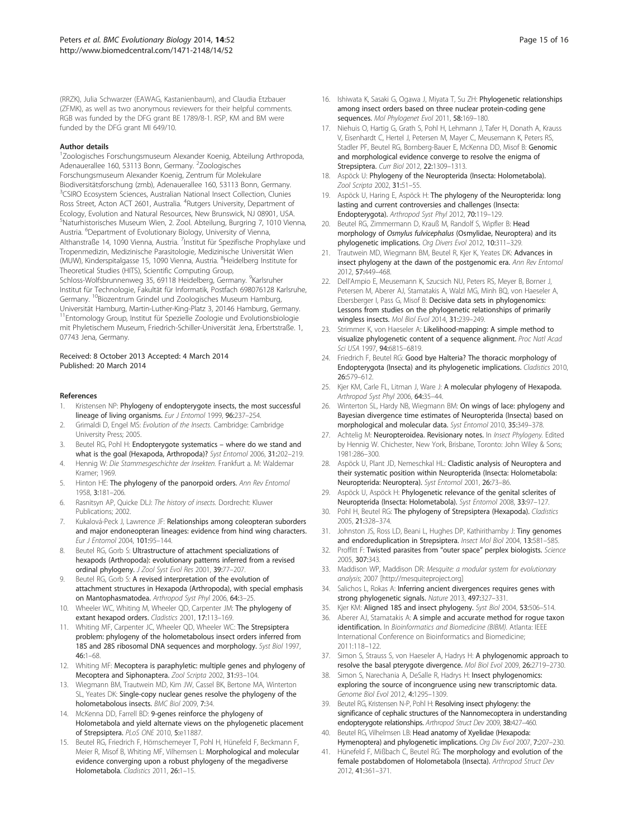<span id="page-14-0"></span>(RRZK), Julia Schwarzer (EAWAG, Kastanienbaum), and Claudia Etzbauer (ZFMK), as well as two anonymous reviewers for their helpful comments. RGB was funded by the DFG grant BE 1789/8-1. RSP, KM and BM were funded by the DFG grant MI 649/10.

#### Author details

1 Zoologisches Forschungsmuseum Alexander Koenig, Abteilung Arthropoda, Adenauerallee 160, 53113 Bonn, Germany. <sup>2</sup>Zoologisches Forschungsmuseum Alexander Koenig, Zentrum für Molekulare Biodiversitätsforschung (zmb), Adenauerallee 160, 53113 Bonn, Germany. <sup>3</sup>CSIRO Ecosystem Sciences, Australian National Insect Collection, Clunies Ross Street, Acton ACT 2601, Australia. <sup>4</sup>Rutgers University, Department of Ecology, Evolution and Natural Resources, New Brunswick, NJ 08901, USA. 5 Naturhistorisches Museum Wien, 2. Zool. Abteilung, Burgring 7, 1010 Vienna, Austria. <sup>6</sup>Department of Evolutionary Biology, University of Vienna, Althanstraße 14, 1090 Vienna, Austria. <sup>7</sup>Institut für Spezifische Prophylaxe und Tropenmedizin, Medizinische Parasitologie, Medizinische Universität Wien (MUW), Kinderspitalgasse 15, 1090 Vienna, Austria. <sup>8</sup>Heidelberg Institute for Theoretical Studies (HITS), Scientific Computing Group, Schloss-Wolfsbrunnenweg 35, 69118 Heidelberg, Germany. <sup>9</sup>Karlsruher Institut für Technologie, Fakultät für Informatik, Postfach 698076128 Karlsruhe, Germany. 10Biozentrum Grindel und Zoologisches Museum Hamburg, Universität Hamburg, Martin-Luther-King-Platz 3, 20146 Hamburg, Germany. <sup>11</sup>Entomology Group, Institut für Spezielle Zoologie und Evolutionsbiologie mit Phyletischem Museum, Friedrich-Schiller-Universität Jena, Erbertstraße. 1, 07743 Jena, Germany.

#### Received: 8 October 2013 Accepted: 4 March 2014 Published: 20 March 2014

#### References

- 1. Kristensen NP: Phylogeny of endopterygote insects, the most successful lineage of living organisms. Eur J Entomol 1999, 96:237–254.
- 2. Grimaldi D, Engel MS: Evolution of the Insects. Cambridge: Cambridge University Press; 2005.
- 3. Beutel RG, Pohl H: Endopterygote systematics where do we stand and what is the goal (Hexapoda, Arthropoda)? Syst Entomol 2006, 31:202–219.
- 4. Hennig W: Die Stammesgeschichte der Insekten. Frankfurt a. M: Waldemar Kramer; 1969.
- 5. Hinton HE: The phylogeny of the panorpoid orders. Ann Rev Entomol 1958, 3:181–206.
- 6. Rasnitsyn AP, Quicke DLJ: The history of insects. Dordrecht: Kluwer Publications; 2002.
- 7. Kukalová-Peck J, Lawrence JF: Relationships among coleopteran suborders and major endoneopteran lineages: evidence from hind wing characters. Eur J Entomol 2004, 101:95–144.
- Beutel RG, Gorb S: Ultrastructure of attachment specializations of hexapods (Arthropoda): evolutionary patterns inferred from a revised ordinal phylogeny. J Zool Syst Evol Res 2001, 39:77–207.
- Beutel RG, Gorb S: A revised interpretation of the evolution of attachment structures in Hexapoda (Arthropoda), with special emphasis on Mantophasmatodea. Arthropod Syst Phyl 2006, 64:3–25.
- 10. Wheeler WC, Whiting M, Wheeler QD, Carpenter JM: The phylogeny of extant hexapod orders. Cladistics 2001, 17:113–169.
- 11. Whiting MF, Carpenter JC, Wheeler QD, Wheeler WC: The Strepsiptera problem: phylogeny of the holometabolous insect orders inferred from 18S and 28S ribosomal DNA sequences and morphology. Syst Biol 1997, 46:1–68.
- 12. Whiting MF: Mecoptera is paraphyletic: multiple genes and phylogeny of Mecoptera and Siphonaptera. Zool Scripta 2002, 31:93–104.
- 13. Wiegmann BM, Trautwein MD, Kim JW, Cassel BK, Bertone MA, Winterton SL, Yeates DK: Single-copy nuclear genes resolve the phylogeny of the holometabolous insects. BMC Biol 2009, 7:34.
- 14. McKenna DD, Farrell BD: 9-genes reinforce the phylogeny of Holometabola and yield alternate views on the phylogenetic placement of Strepsiptera. PLoS ONE 2010, 5:e11887.
- 15. Beutel RG, Friedrich F, Hörnschemeyer T, Pohl H, Hünefeld F, Beckmann F, Meier R, Misof B, Whiting MF, Vilhemsen L: Morphological and molecular evidence converging upon a robust phylogeny of the megadiverse Holometabola. Cladistics 2011, 26:1–15.
- 16. Ishiwata K, Sasaki G, Ogawa J, Miyata T, Su ZH: Phylogenetic relationships among insect orders based on three nuclear protein-coding gene sequences. Mol Phylogenet Evol 2011, 58:169–180.
- 17. Niehuis O, Hartig G, Grath S, Pohl H, Lehmann J, Tafer H, Donath A, Krauss V, Eisenhardt C, Hertel J, Petersen M, Mayer C, Meusemann K, Peters RS, Stadler PF, Beutel RG, Bornberg-Bauer E, McKenna DD, Misof B: Genomic and morphological evidence converge to resolve the enigma of Strepsiptera. Curr Biol 2012, 22:1309–1313.
- 18. Aspöck U: Phylogeny of the Neuropterida (Insecta: Holometabola). Zool Scripta 2002, 31:51–55.
- 19. Aspöck U, Haring E, Aspöck H: The phylogeny of the Neuropterida: long lasting and current controversies and challenges (Insecta: Endopterygota). Arthropod Syst Phyl 2012, 70:119–129.
- 20. Beutel RG, Zimmermann D, Krauß M, Randolf S, Wipfler B: Head morphology of Osmylus fulvicephalus (Osmylidae, Neuroptera) and its phylogenetic implications. Org Divers Evol 2012, 10:311–329.
- 21. Trautwein MD, Wiegmann BM, Beutel R, Kjer K, Yeates DK: Advances in insect phylogeny at the dawn of the postgenomic era. Ann Rev Entomol 2012, 57:449–468.
- 22. Dell'Ampio E, Meusemann K, Szucsich NU, Peters RS, Meyer B, Borner J, Petersen M, Aberer AJ, Stamatakis A, Walzl MG, Minh BQ, von Haeseler A, Ebersberger I, Pass G, Misof B: Decisive data sets in phylogenomics: Lessons from studies on the phylogenetic relationships of primarily wingless insects. Mol Biol Evol 2014, 31:239–249.
- 23. Strimmer K, von Haeseler A: Likelihood-mapping: A simple method to visualize phylogenetic content of a sequence alignment. Proc Natl Acad Sci USA 1997, 94:6815–6819.
- 24. Friedrich F, Beutel RG: Good bye Halteria? The thoracic morphology of Endopterygota (Insecta) and its phylogenetic implications. Cladistics 2010, 26:579–612.
- 25. Kjer KM, Carle FL, Litman J, Ware J: A molecular phylogeny of Hexapoda. Arthropod Syst Phyl 2006, 64:35-44
- 26. Winterton SL, Hardy NB, Wiegmann BM: On wings of lace: phylogeny and Bayesian divergence time estimates of Neuropterida (Insecta) based on morphological and molecular data. Syst Entomol 2010, 35:349-378.
- Achtelig M: Neuropteroidea. Revisionary notes. In Insect Phylogeny. Edited by Hennig W. Chichester, New York, Brisbane, Toronto: John Wiley & Sons; 1981:286–300.
- 28. Aspöck U, Plant JD, Nemeschkal HL: Cladistic analysis of Neuroptera and their systematic position within Neuropterida (Insecta: Holometabola: Neuropterida: Neuroptera). Syst Entomol 2001, 26:73–86.
- 29. Aspöck U, Aspöck H: Phylogenetic relevance of the genital sclerites of Neuropterida (Insecta: Holometabola). Syst Entomol 2008, 33:97–127.
- 30. Pohl H, Beutel RG: The phylogeny of Strepsiptera (Hexapoda). Cladistics 2005, 21:328–374.
- 31. Johnston JS, Ross LD, Beani L, Hughes DP, Kathirithamby J: Tiny genomes and endoreduplication in Strepsiptera. Insect Mol Biol 2004, 13:581–585.
- 32. Proffitt F: Twisted parasites from "outer space" perplex biologists. Science 2005, 307:343.
- 33. Maddison WP, Maddison DR: Mesquite: a modular system for evolutionary analysis; 2007 [<http://mesquiteproject.org>]
- 34. Salichos L, Rokas A: Inferring ancient divergences requires genes with strong phylogenetic signals. Nature 2013, 497:327–331.
- 35. Kjer KM: Aligned 18S and insect phylogeny. Syst Biol 2004, 53:506–514.
- 36. Aberer AJ, Stamatakis A: A simple and accurate method for rogue taxon identification. In Bioinformatics and Biomedicine (BIBM). Atlanta: IEEE International Conference on Bioinformatics and Biomedicine; 2011:118–122.
- 37. Simon S, Strauss S, von Haeseler A, Hadrys H: A phylogenomic approach to resolve the basal pterygote divergence. Mol Biol Evol 2009, 26:2719–2730.
- 38. Simon S, Narechania A, DeSalle R, Hadrys H: Insect phylogenomics: exploring the source of incongruence using new transcriptomic data. Genome Biol Evol 2012, 4:1295–1309.
- 39. Beutel RG, Kristensen N-P, Pohl H: Resolving insect phylogeny: the significance of cephalic structures of the Nannomecoptera in understanding endopterygote relationships. Arthropod Struct Dev 2009, 38:427–460.
- 40. Beutel RG, Vilhelmsen LB: Head anatomy of Xyelidae (Hexapoda: Hymenoptera) and phylogenetic implications. Org Div Evol 2007, 7:207-230.
- 41. Hünefeld F, Mißbach C, Beutel RG: The morphology and evolution of the female postabdomen of Holometabola (Insecta). Arthropod Struct Dev 2012, 41:361–371.